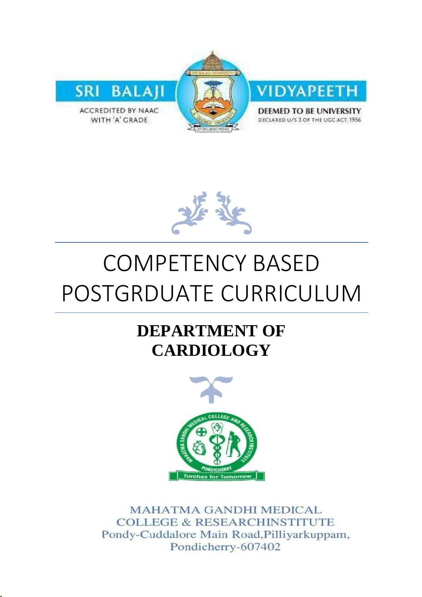



# COMPETENCY BASED POSTGRDUATE CURRICULUM

# **DEPARTMENT OF CARDIOLOGY**



**MAHATMA GANDHI MEDICAL COLLEGE & RESEARCHINSTITUTE** Pondy-Cuddalore Main Road, Pilliyarkuppam, Pondicherry-607402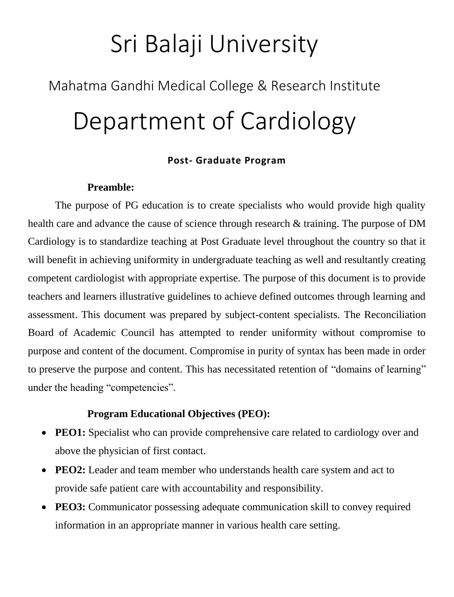# Sri Balaji University

# Mahatma Gandhi Medical College & Research Institute Department of Cardiology

## **Post- Graduate Program**

## **Preamble:**

The purpose of PG education is to create specialists who would provide high quality health care and advance the cause of science through research & training. The purpose of DM Cardiology is to standardize teaching at Post Graduate level throughout the country so that it will benefit in achieving uniformity in undergraduate teaching as well and resultantly creating competent cardiologist with appropriate expertise. The purpose of this document is to provide teachers and learners illustrative guidelines to achieve defined outcomes through learning and assessment. This document was prepared by subject-content specialists. The Reconciliation Board of Academic Council has attempted to render uniformity without compromise to purpose and content of the document. Compromise in purity of syntax has been made in order to preserve the purpose and content. This has necessitated retention of "domains of learning" under the heading "competencies".

## **Program Educational Objectives (PEO):**

- **PEO1:** Specialist who can provide comprehensive care related to cardiology over and above the physician of first contact.
- PEO2: Leader and team member who understands health care system and act to provide safe patient care with accountability and responsibility.
- **PEO3:** Communicator possessing adequate communication skill to convey required information in an appropriate manner in various health care setting.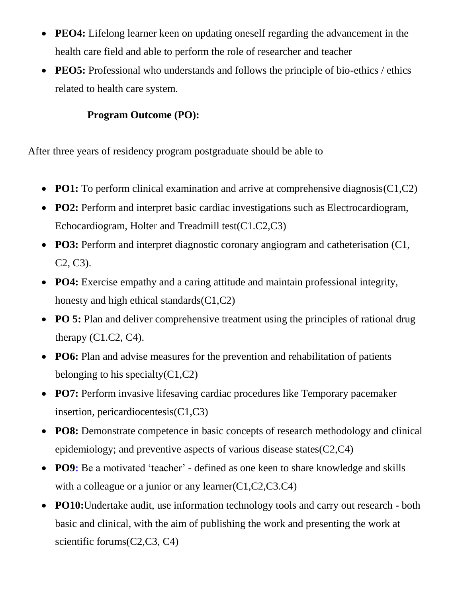- **PEO4:** Lifelong learner keen on updating oneself regarding the advancement in the health care field and able to perform the role of researcher and teacher
- **PEO5:** Professional who understands and follows the principle of bio-ethics / ethics related to health care system.

## **Program Outcome (PO):**

After three years of residency program postgraduate should be able to

- **PO1:** To perform clinical examination and arrive at comprehensive diagnosis(C1,C2)
- **PO2:** Perform and interpret basic cardiac investigations such as Electrocardiogram, Echocardiogram, Holter and Treadmill test(C1.C2,C3)
- **PO3:** Perform and interpret diagnostic coronary angiogram and catheterisation (C1, C2, C3).
- **PO4:** Exercise empathy and a caring attitude and maintain professional integrity, honesty and high ethical standards(C1,C2)
- **PO 5:** Plan and deliver comprehensive treatment using the principles of rational drug therapy  $(C1.C2, C4)$ .
- **PO6:** Plan and advise measures for the prevention and rehabilitation of patients belonging to his specialty $(C1, C2)$
- **PO7:** Perform invasive lifesaving cardiac procedures like Temporary pacemaker insertion, pericardiocentesis(C1,C3)
- **PO8:** Demonstrate competence in basic concepts of research methodology and clinical epidemiology; and preventive aspects of various disease states(C2,C4)
- **PO9:** Be a motivated 'teacher' defined as one keen to share knowledge and skills with a colleague or a junior or any learner(C1,C2,C3,C4)
- **PO10:**Undertake audit, use information technology tools and carry out research both basic and clinical, with the aim of publishing the work and presenting the work at scientific forums(C2,C3, C4)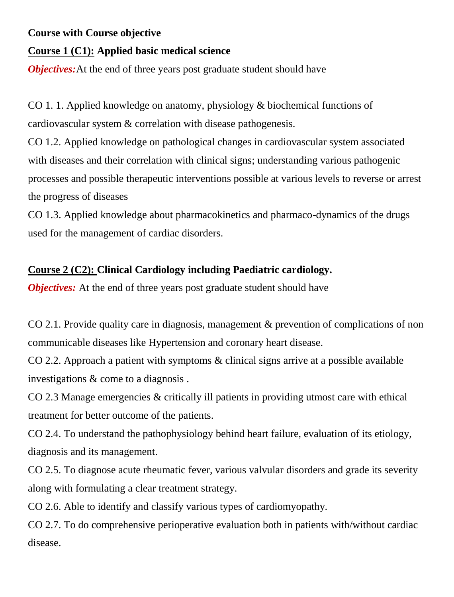## **Course with Course objective**

## **Course 1 (C1): Applied basic medical science**

*Objectives:*At the end of three years post graduate student should have

CO 1. 1. Applied knowledge on anatomy, physiology & biochemical functions of cardiovascular system & correlation with disease pathogenesis.

CO 1.2. Applied knowledge on pathological changes in cardiovascular system associated with diseases and their correlation with clinical signs; understanding various pathogenic processes and possible therapeutic interventions possible at various levels to reverse or arrest the progress of diseases

CO 1.3. Applied knowledge about pharmacokinetics and pharmaco-dynamics of the drugs used for the management of cardiac disorders.

## **Course 2 (C2): Clinical Cardiology including Paediatric cardiology.**

*Objectives:* At the end of three years post graduate student should have

CO 2.1. Provide quality care in diagnosis, management & prevention of complications of non communicable diseases like Hypertension and coronary heart disease.

CO 2.2. Approach a patient with symptoms & clinical signs arrive at a possible available investigations & come to a diagnosis .

CO 2.3 Manage emergencies & critically ill patients in providing utmost care with ethical treatment for better outcome of the patients.

CO 2.4. To understand the pathophysiology behind heart failure, evaluation of its etiology, diagnosis and its management.

CO 2.5. To diagnose acute rheumatic fever, various valvular disorders and grade its severity along with formulating a clear treatment strategy.

CO 2.6. Able to identify and classify various types of cardiomyopathy.

CO 2.7. To do comprehensive perioperative evaluation both in patients with/without cardiac disease.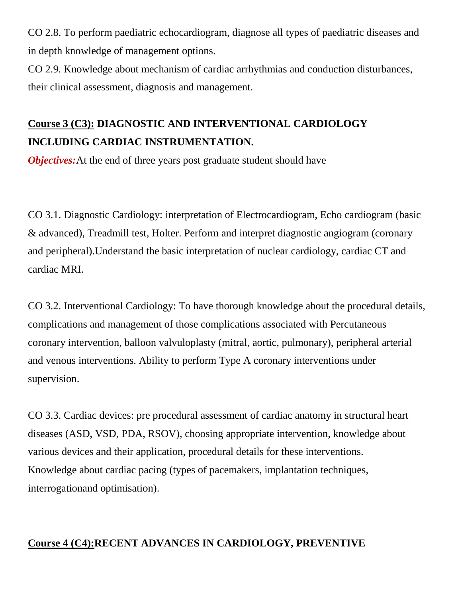CO 2.8. To perform paediatric echocardiogram, diagnose all types of paediatric diseases and in depth knowledge of management options.

CO 2.9. Knowledge about mechanism of cardiac arrhythmias and conduction disturbances, their clinical assessment, diagnosis and management.

# **Course 3 (C3): DIAGNOSTIC AND INTERVENTIONAL CARDIOLOGY INCLUDING CARDIAC INSTRUMENTATION.**

*Objectives:*At the end of three years post graduate student should have

CO 3.1. Diagnostic Cardiology: interpretation of Electrocardiogram, Echo cardiogram (basic & advanced), Treadmill test, Holter. Perform and interpret diagnostic angiogram (coronary and peripheral).Understand the basic interpretation of nuclear cardiology, cardiac CT and cardiac MRI.

CO 3.2. Interventional Cardiology: To have thorough knowledge about the procedural details, complications and management of those complications associated with Percutaneous coronary intervention, balloon valvuloplasty (mitral, aortic, pulmonary), peripheral arterial and venous interventions. Ability to perform Type A coronary interventions under supervision.

CO 3.3. Cardiac devices: pre procedural assessment of cardiac anatomy in structural heart diseases (ASD, VSD, PDA, RSOV), choosing appropriate intervention, knowledge about various devices and their application, procedural details for these interventions. Knowledge about cardiac pacing (types of pacemakers, implantation techniques, interrogationand optimisation).

## **Course 4 (C4):RECENT ADVANCES IN CARDIOLOGY, PREVENTIVE**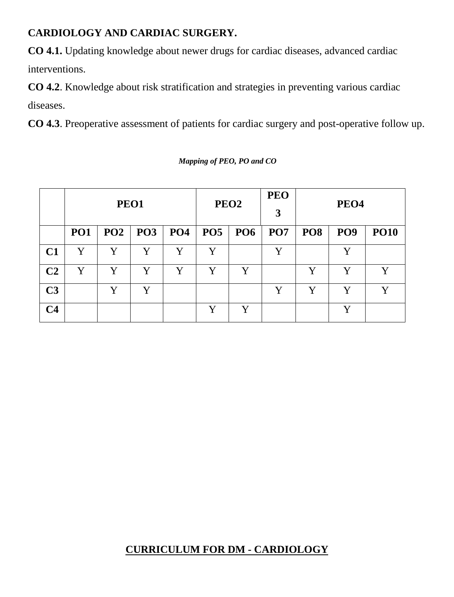## **CARDIOLOGY AND CARDIAC SURGERY.**

**CO 4.1.** Updating knowledge about newer drugs for cardiac diseases, advanced cardiac interventions.

**CO 4.2**. Knowledge about risk stratification and strategies in preventing various cardiac diseases.

**CO 4.3**. Preoperative assessment of patients for cardiac surgery and post-operative follow up.

|                | PEO1       |                 |            |            | PEO <sub>2</sub> |                 | <b>PEO</b><br>3 | PEO <sub>4</sub> |                 |             |
|----------------|------------|-----------------|------------|------------|------------------|-----------------|-----------------|------------------|-----------------|-------------|
|                | <b>PO1</b> | PO <sub>2</sub> | <b>PO3</b> | <b>PO4</b> | <b>PO5</b>       | PO <sub>6</sub> | <b>PO7</b>      | PO <sub>8</sub>  | PO <sub>9</sub> | <b>PO10</b> |
| C1             | Y          | Y               | Y          | Y          | Y                |                 | Y               |                  |                 |             |
| C <sub>2</sub> | Y          | V               | Y          | Y          | Y                | Y               |                 | Y                | V               | Y           |
| C <sub>3</sub> |            | Y               | Y          |            |                  |                 | Y               | Y                | Y               | Y           |
| C <sub>4</sub> |            |                 |            |            | Y                | Y               |                 |                  | Y               |             |

*Mapping of PEO, PO and CO*

## **CURRICULUM FOR DM - CARDIOLOGY**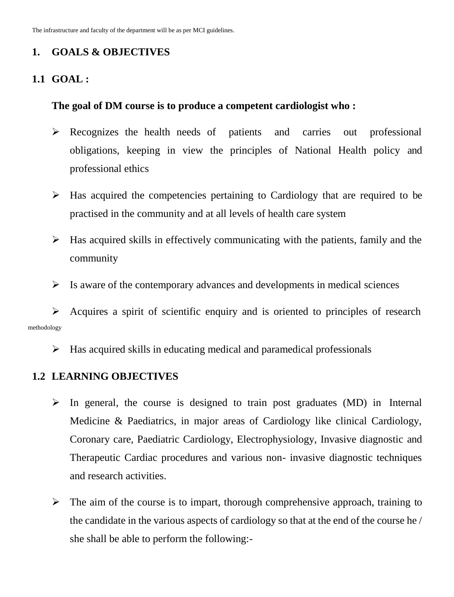The infrastructure and faculty of the department will be as per MCI guidelines.

## **1. GOALS & OBJECTIVES**

## **1.1 GOAL :**

## **The goal of DM course is to produce a competent cardiologist who :**

- $\triangleright$  Recognizes the health needs of patients and carries out professional obligations, keeping in view the principles of National Health policy and professional ethics
- $\triangleright$  Has acquired the competencies pertaining to Cardiology that are required to be practised in the community and at all levels of health care system
- $\triangleright$  Has acquired skills in effectively communicating with the patients, family and the community
- $\triangleright$  Is aware of the contemporary advances and developments in medical sciences

 $\triangleright$  Acquires a spirit of scientific enquiry and is oriented to principles of research methodology

 $\triangleright$  Has acquired skills in educating medical and paramedical professionals

## **1.2 LEARNING OBJECTIVES**

- $\triangleright$  In general, the course is designed to train post graduates (MD) in Internal Medicine & Paediatrics, in major areas of Cardiology like clinical Cardiology, Coronary care, Paediatric Cardiology, Electrophysiology, Invasive diagnostic and Therapeutic Cardiac procedures and various non- invasive diagnostic techniques and research activities.
- $\triangleright$  The aim of the course is to impart, thorough comprehensive approach, training to the candidate in the various aspects of cardiology so that at the end of the course he / she shall be able to perform the following:-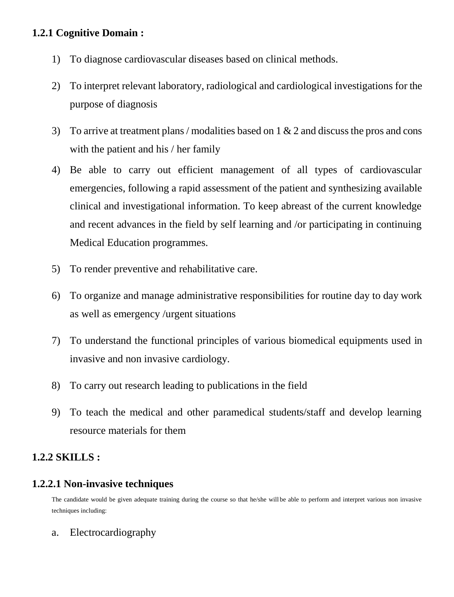## **1.2.1 Cognitive Domain :**

- 1) To diagnose cardiovascular diseases based on clinical methods.
- 2) To interpret relevant laboratory, radiological and cardiological investigations for the purpose of diagnosis
- 3) To arrive at treatment plans / modalities based on  $1 \& 2$  and discuss the pros and cons with the patient and his / her family
- 4) Be able to carry out efficient management of all types of cardiovascular emergencies, following a rapid assessment of the patient and synthesizing available clinical and investigational information. To keep abreast of the current knowledge and recent advances in the field by self learning and /or participating in continuing Medical Education programmes.
- 5) To render preventive and rehabilitative care.
- 6) To organize and manage administrative responsibilities for routine day to day work as well as emergency /urgent situations
- 7) To understand the functional principles of various biomedical equipments used in invasive and non invasive cardiology.
- 8) To carry out research leading to publications in the field
- 9) To teach the medical and other paramedical students/staff and develop learning resource materials for them

## **1.2.2 SKILLS :**

## **1.2.2.1 Non-invasive techniques**

The candidate would be given adequate training during the course so that he/she will be able to perform and interpret various non invasive techniques including:

a. Electrocardiography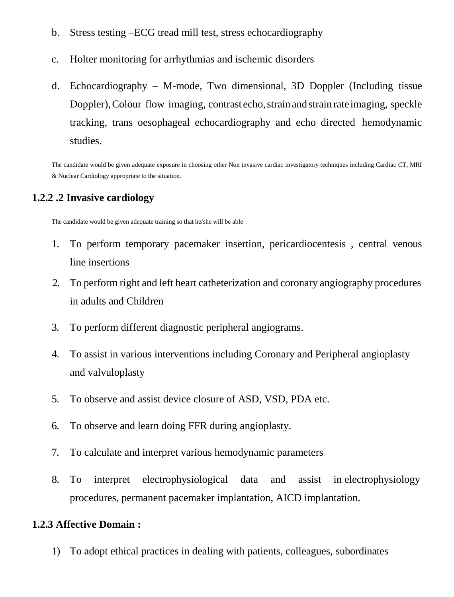- b. Stress testing –ECG tread mill test, stress echocardiography
- c. Holter monitoring for arrhythmias and ischemic disorders
- d. Echocardiography M-mode, Two dimensional, 3D Doppler (Including tissue Doppler), Colour flow imaging, contrast echo, strain and strain rate imaging, speckle tracking, trans oesophageal echocardiography and echo directed hemodynamic studies.

The candidate would be given adequate exposure in choosing other Non invasive cardiac investigatory techniques including Cardiac CT, MRI & Nuclear Cardiology appropriate to the situation.

## **1.2.2 .2 Invasive cardiology**

The candidate would be given adequate training so that he/she will be able

- 1. To perform temporary pacemaker insertion, pericardiocentesis , central venous line insertions
- 2. To perform right and left heart catheterization and coronary angiography procedures in adults and Children
- 3. To perform different diagnostic peripheral angiograms.
- 4. To assist in various interventions including Coronary and Peripheral angioplasty and valvuloplasty
- 5. To observe and assist device closure of ASD, VSD, PDA etc.
- 6. To observe and learn doing FFR during angioplasty.
- 7. To calculate and interpret various hemodynamic parameters
- 8. To interpret electrophysiological data and assist in electrophysiology procedures, permanent pacemaker implantation, AICD implantation.

## **1.2.3 Affective Domain :**

1) To adopt ethical practices in dealing with patients, colleagues, subordinates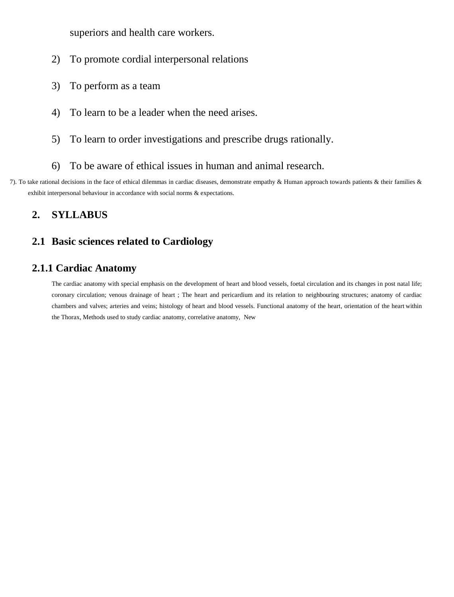superiors and health care workers.

- 2) To promote cordial interpersonal relations
- 3) To perform as a team
- 4) To learn to be a leader when the need arises.
- 5) To learn to order investigations and prescribe drugs rationally.
- 6) To be aware of ethical issues in human and animal research.
- 7). To take rational decisions in the face of ethical dilemmas in cardiac diseases, demonstrate empathy & Human approach towards patients & their families & exhibit interpersonal behaviour in accordance with social norms & expectations.

## **2. SYLLABUS**

#### **2.1 Basic sciences related to Cardiology**

## **2.1.1 Cardiac Anatomy**

The cardiac anatomy with special emphasis on the development of heart and blood vessels, foetal circulation and its changes in post natal life; coronary circulation; venous drainage of heart ; The heart and pericardium and its relation to neighbouring structures; anatomy of cardiac chambers and valves; arteries and veins; histology of heart and blood vessels. Functional anatomy of the heart, orientation of the heart within the Thorax, Methods used to study cardiac anatomy, correlative anatomy, New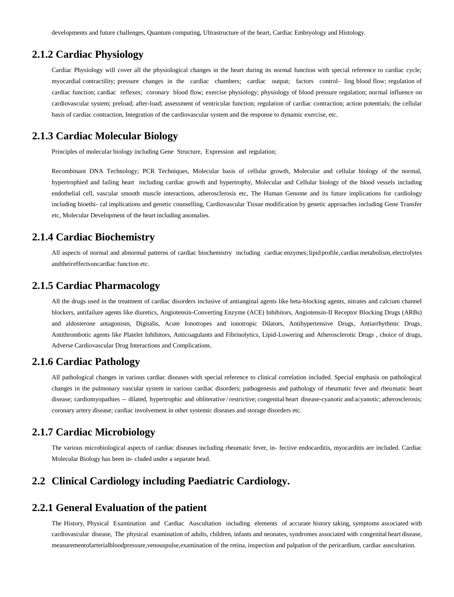developments and future challenges, Quantum computing, Ultrastructure of the heart, Cardiac Embryology and Histology.

#### **2.1.2 Cardiac Physiology**

Cardiac Physiology will cover all the physiological changes in the heart during its normal function with special reference to cardiac cycle; myocardial contractility; pressure changes in the cardiac chambers; cardiac output; factors control- ling blood flow; regulation of cardiac function; cardiac reflexes; coronary blood flow; exercise physiology; physiology of blood pressure regulation; normal influence on cardiovascular system; preload; after-load; assessment of ventricular function; regulation of cardiac contraction; action potentials; the cellular basis of cardiac contraction, Integration of the cardiovascular system and the response to dynamic exercise, etc.

#### **2.1.3 Cardiac Molecular Biology**

Principles of molecular biology including Gene Structure, Expression and regulation;

Recombinant DNA Technology; PCR Techniques, Molecular basis of cellular growth, Molecular and cellular biology of the normal, hypertrophied and failing heart including cardiac growth and hypertrophy, Molecular and Cellular biology of the blood vessels including endothelial cell, vascular smooth muscle interactions, atherosclerosis etc, The Human Genome and its future implications for cardiology including bioethi- cal implications and genetic counselling, Cardiovascular Tissue modification by genetic approaches including Gene Transfer etc, Molecular Development of the heart including anomalies.

#### **2.1.4 Cardiac Biochemistry**

All aspects of normal and abnormal patterns of cardiac biochemistry including cardiac enzymes;lipidprofile, cardiacmetabolism, electrolytes andtheireffectsoncardiac function etc.

#### **2.1.5 Cardiac Pharmacology**

All the drugs used in the treatment of cardiac disorders inclusive of antianginal agents like beta-blocking agents, nitrates and calcium channel blockers, antifailure agents like diuretics, Angiotensin-Converting Enzyme (ACE) Inhibitors, Angiotensin-II Receptor Blocking Drugs (ARBs) and aldosterone antagonism, Digitalis, Acute Ionotropes and ionotropic Dilators, Antihypertensive Drugs, Antiarrhythmic Drugs, Antithrombotic agents like Platelet Inhibitors, Anticoagulants and Fibrinolytics, Lipid-Lowering and Atherosclerotic Drugs , choice of drugs, Adverse Cardiovascular Drug Interactions and Complications.

#### **2.1.6 Cardiac Pathology**

All pathological changes in various cardiac diseases with special reference to clinical correlation included. Special emphasis on pathological changes in the pulmonary vascular system in various cardiac disorders; pathogenesis and pathology of rheumatic fever and rheumatic heart disease; cardiomyopathies -- dilated, hypertrophic and obliterative /restrictive; congenital heart disease-cyanotic and acyanotic; atherosclerosis; coronary artery disease; cardiac involvement in other systemic diseases and storage disorders etc.

#### **2.1.7 Cardiac Microbiology**

The various microbiological aspects of cardiac diseases including rheumatic fever, in- fective endocarditis, myocarditis are included. Cardiac Molecular Biology has been in- cluded under a separate head.

#### **2.2 Clinical Cardiology including Paediatric Cardiology.**

#### **2.2.1 General Evaluation of the patient**

The History, Physical Examination and Cardiac Auscultation including elements of accurate history taking, symptoms associated with cardiovascular disease, The physical examination of adults, children, infants and neonates, syndromes associated with congenital heart disease, measurementofarterialbloodpressure,venouspulse,examination of the retina, inspection and palpation of the pericardium, cardiac auscultation.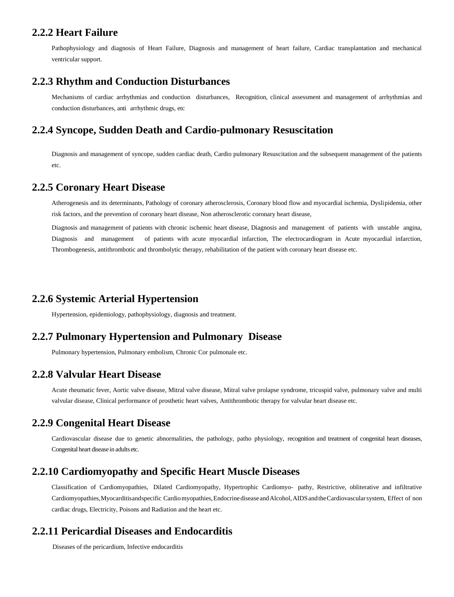#### **2.2.2 Heart Failure**

Pathophysiology and diagnosis of Heart Failure, Diagnosis and management of heart failure, Cardiac transplantation and mechanical ventricular support.

#### **2.2.3 Rhythm and Conduction Disturbances**

Mechanisms of cardiac arrhythmias and conduction disturbances, Recognition, clinical assessment and management of arrhythmias and conduction disturbances, anti arrhythmic drugs, etc

#### **2.2.4 Syncope, Sudden Death and Cardio-pulmonary Resuscitation**

Diagnosis and management of syncope, sudden cardiac death, Cardio pulmonary Resuscitation and the subsequent management of the patients etc.

#### **2.2.5 Coronary Heart Disease**

Atherogenesis and its determinants, Pathology of coronary atherosclerosis, Coronary blood flow and myocardial ischemia, Dyslipidemia, other risk factors, and the prevention of coronary heart disease, Non atherosclerotic coronary heart disease,

Diagnosis and management of patients with chronic ischemic heart disease, Diagnosis and management of patients with unstable angina, Diagnosis and management of patients with acute myocardial infarction, The electrocardiogram in Acute myocardial infarction, Thrombogenesis, antithrombotic and thrombolytic therapy, rehabilitation of the patient with coronary heart disease etc.

#### **2.2.6 Systemic Arterial Hypertension**

Hypertension, epidemiology, pathophysiology, diagnosis and treatment.

#### **2.2.7 Pulmonary Hypertension and Pulmonary Disease**

Pulmonary hypertension, Pulmonary embolism, Chronic Cor pulmonale etc.

#### **2.2.8 Valvular Heart Disease**

Acute rheumatic fever, Aortic valve disease, Mitral valve disease, Mitral valve prolapse syndrome, tricuspid valve, pulmonary valve and multi valvular disease, Clinical performance of prosthetic heart valves, Antithrombotic therapy for valvular heart disease etc.

#### **2.2.9 Congenital Heart Disease**

Cardiovascular disease due to genetic abnormalities, the pathology, patho physiology, recognition and treatment of congenital heart diseases, Congenital heart disease in adults etc.

#### **2.2.10 Cardiomyopathy and Specific Heart Muscle Diseases**

Classification of Cardiomyopathies, Dilated Cardiomyopathy, Hypertrophic Cardiomyo- pathy, Restrictive, obliterative and infiltrative Cardiomyopathies,Myocarditisandspecific Cardiomyopathies,EndocrinediseaseandAlcohol,AIDSandtheCardiovascularsystem, Effect of non cardiac drugs, Electricity, Poisons and Radiation and the heart etc.

#### **2.2.11 Pericardial Diseases and Endocarditis**

Diseases of the pericardium, Infective endocarditis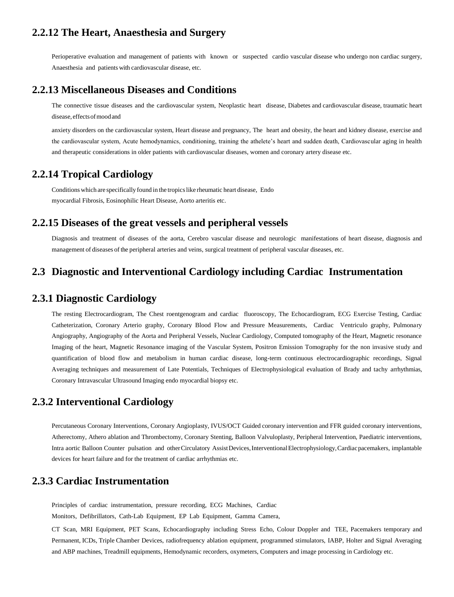#### **2.2.12 The Heart, Anaesthesia and Surgery**

Perioperative evaluation and management of patients with known or suspected cardio vascular disease who undergo non cardiac surgery, Anaesthesia and patients with cardiovascular disease, etc.

#### **2.2.13 Miscellaneous Diseases and Conditions**

The connective tissue diseases and the cardiovascular system, Neoplastic heart disease, Diabetes and cardiovascular disease, traumatic heart disease, effectsofmoodand

anxiety disorders on the cardiovascular system, Heart disease and pregnancy, The heart and obesity, the heart and kidney disease, exercise and the cardiovascular system, Acute hemodynamics, conditioning, training the athelete's heart and sudden death, Cardiovascular aging in health and therapeutic considerations in older patients with cardiovascular diseases, women and coronary artery disease etc.

#### **2.2.14 Tropical Cardiology**

Conditions which are specifically found in the tropicslike rheumatic heart disease, Endo myocardial Fibrosis, Eosinophilic Heart Disease, Aorto arteritis etc.

#### **2.2.15 Diseases of the great vessels and peripheral vessels**

Diagnosis and treatment of diseases of the aorta, Cerebro vascular disease and neurologic manifestations of heart disease, diagnosis and management of diseases of the peripheral arteries and veins, surgical treatment of peripheral vascular diseases, etc.

#### **2.3 Diagnostic and Interventional Cardiology including Cardiac Instrumentation**

#### **2.3.1 Diagnostic Cardiology**

The resting Electrocardiogram, The Chest roentgenogram and cardiac fluoroscopy, The Echocardiogram, ECG Exercise Testing, Cardiac Catheterization, Coronary Arterio graphy, Coronary Blood Flow and Pressure Measurements, Cardiac Ventriculo graphy, Pulmonary Angiography, Angiography of the Aorta and Peripheral Vessels, Nuclear Cardiology, Computed tomography of the Heart, Magnetic resonance Imaging of the heart, Magnetic Resonance imaging of the Vascular System, Positron Emission Tomography for the non invasive study and quantification of blood flow and metabolism in human cardiac disease, long-term continuous electrocardiographic recordings, Signal Averaging techniques and measurement of Late Potentials, Techniques of Electrophysiological evaluation of Brady and tachy arrhythmias, Coronary Intravascular Ultrasound Imaging endo myocardial biopsy etc.

#### **2.3.2 Interventional Cardiology**

Percutaneous Coronary Interventions, Coronary Angioplasty, IVUS/OCT Guided coronary intervention and FFR guided coronary interventions, Atherectomy, Athero ablation and Thrombectomy, Coronary Stenting, Balloon Valvuloplasty, Peripheral Intervention, Paediatric interventions, Intra aortic Balloon Counter pulsation and otherCirculatory AssistDevices,InterventionalElectrophysiology,Cardiacpacemakers, implantable devices for heart failure and for the treatment of cardiac arrhythmias etc.

#### **2.3.3 Cardiac Instrumentation**

Principles of cardiac instrumentation, pressure recording, ECG Machines, Cardiac

Monitors, Defibrillators, Cath-Lab Equipment, EP Lab Equipment, Gamma Camera,

CT Scan, MRI Equipment, PET Scans, Echocardiography including Stress Echo, Colour Doppler and TEE, Pacemakers temporary and Permanent, ICDs, Triple Chamber Devices, radiofrequency ablation equipment, programmed stimulators, IABP, Holter and Signal Averaging and ABP machines, Treadmill equipments, Hemodynamic recorders, oxymeters, Computers and image processing in Cardiology etc.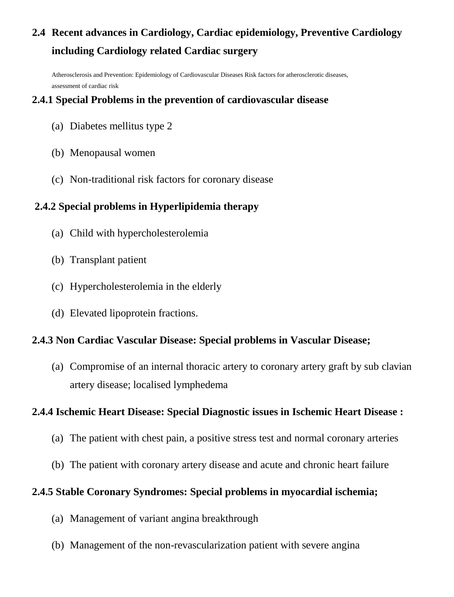# **2.4 Recent advances in Cardiology, Cardiac epidemiology, Preventive Cardiology including Cardiology related Cardiac surgery**

Atherosclerosis and Prevention: Epidemiology of Cardiovascular Diseases Risk factors for atherosclerotic diseases, assessment of cardiac risk

## **2.4.1 Special Problems in the prevention of cardiovascular disease**

- (a) Diabetes mellitus type 2
- (b) Menopausal women
- (c) Non-traditional risk factors for coronary disease

## **2.4.2 Special problems in Hyperlipidemia therapy**

- (a) Child with hypercholesterolemia
- (b) Transplant patient
- (c) Hypercholesterolemia in the elderly
- (d) Elevated lipoprotein fractions.

## **2.4.3 Non Cardiac Vascular Disease: Special problems in Vascular Disease;**

(a) Compromise of an internal thoracic artery to coronary artery graft by sub clavian artery disease; localised lymphedema

## **2.4.4 Ischemic Heart Disease: Special Diagnostic issues in Ischemic Heart Disease :**

- (a) The patient with chest pain, a positive stress test and normal coronary arteries
- (b) The patient with coronary artery disease and acute and chronic heart failure

## **2.4.5 Stable Coronary Syndromes: Special problems in myocardial ischemia;**

- (a) Management of variant angina breakthrough
- (b) Management of the non-revascularization patient with severe angina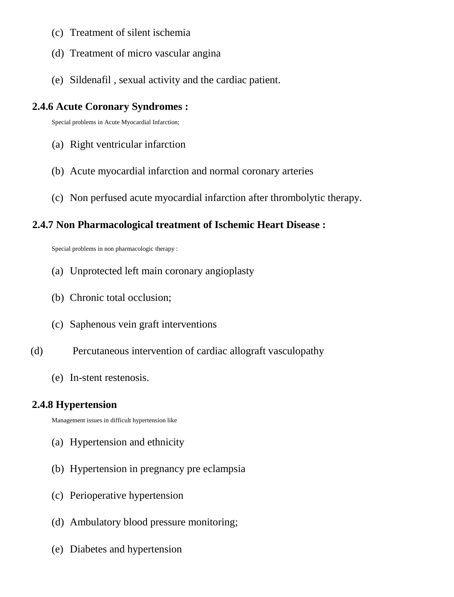- (c) Treatment of silent ischemia
- (d) Treatment of micro vascular angina
- (e) Sildenafil , sexual activity and the cardiac patient.

## **2.4.6 Acute Coronary Syndromes :**

Special problems in Acute Myocardial Infarction;

- (a) Right ventricular infarction
- (b) Acute myocardial infarction and normal coronary arteries
- (c) Non perfused acute myocardial infarction after thrombolytic therapy.

## **2.4.7 Non Pharmacological treatment of Ischemic Heart Disease :**

Special problems in non pharmacologic therapy :

- (a) Unprotected left main coronary angioplasty
- (b) Chronic total occlusion;
- (c) Saphenous vein graft interventions
- (d) Percutaneous intervention of cardiac allograft vasculopathy
	- (e) In-stent restenosis.

## **2.4.8 Hypertension**

Management issues in difficult hypertension like

- (a) Hypertension and ethnicity
- (b) Hypertension in pregnancy pre eclampsia
- (c) Perioperative hypertension
- (d) Ambulatory blood pressure monitoring;
- (e) Diabetes and hypertension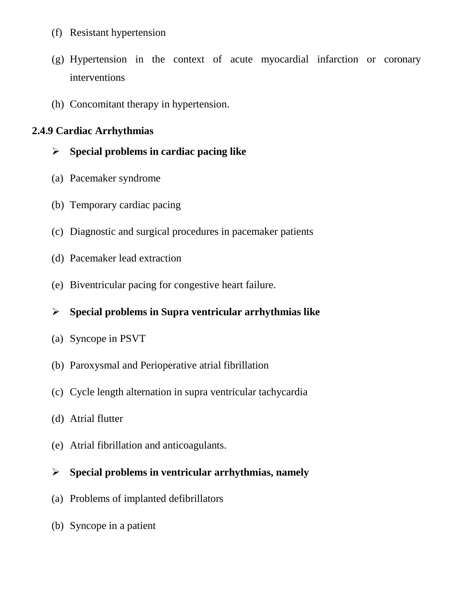- (f) Resistant hypertension
- (g) Hypertension in the context of acute myocardial infarction or coronary interventions
- (h) Concomitant therapy in hypertension.

## **2.4.9 Cardiac Arrhythmias**

## **Special problems in cardiac pacing like**

- (a) Pacemaker syndrome
- (b) Temporary cardiac pacing
- (c) Diagnostic and surgical procedures in pacemaker patients
- (d) Pacemaker lead extraction
- (e) Biventricular pacing for congestive heart failure.

## **Special problems in Supra ventricular arrhythmias like**

- (a) Syncope in PSVT
- (b) Paroxysmal and Perioperative atrial fibrillation
- (c) Cycle length alternation in supra ventricular tachycardia
- (d) Atrial flutter
- (e) Atrial fibrillation and anticoagulants.

## **Special problems in ventricular arrhythmias, namely**

- (a) Problems of implanted defibrillators
- (b) Syncope in a patient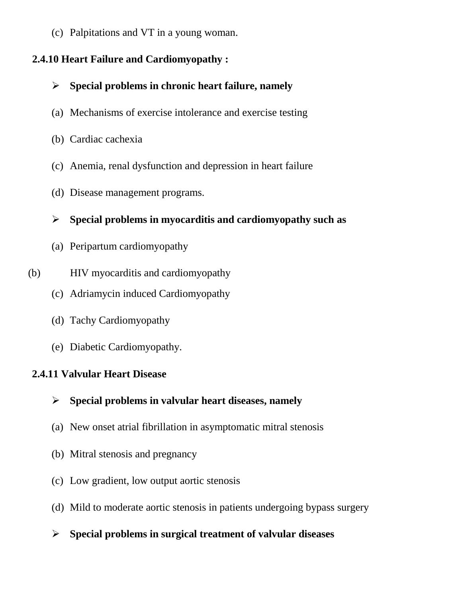(c) Palpitations and VT in a young woman.

## **2.4.10 Heart Failure and Cardiomyopathy :**

- **Special problems in chronic heart failure, namely**
- (a) Mechanisms of exercise intolerance and exercise testing
- (b) Cardiac cachexia
- (c) Anemia, renal dysfunction and depression in heart failure
- (d) Disease management programs.

## **Special problems in myocarditis and cardiomyopathy such as**

- (a) Peripartum cardiomyopathy
- (b) HIV myocarditis and cardiomyopathy
	- (c) Adriamycin induced Cardiomyopathy
	- (d) Tachy Cardiomyopathy
	- (e) Diabetic Cardiomyopathy.

## **2.4.11 Valvular Heart Disease**

- **Special problems in valvular heart diseases, namely**
- (a) New onset atrial fibrillation in asymptomatic mitral stenosis
- (b) Mitral stenosis and pregnancy
- (c) Low gradient, low output aortic stenosis
- (d) Mild to moderate aortic stenosis in patients undergoing bypass surgery
- **Special problems in surgical treatment of valvular diseases**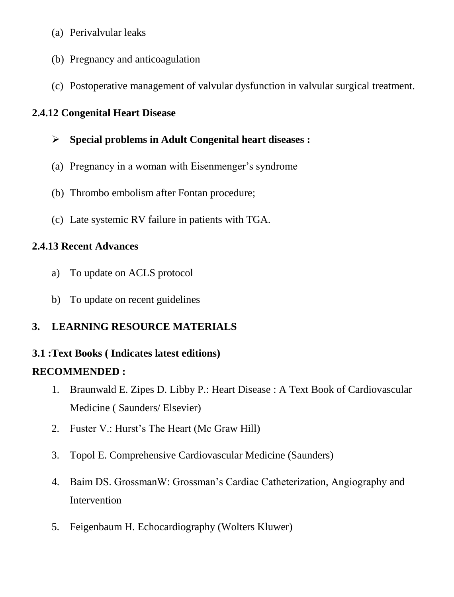- (a) Perivalvular leaks
- (b) Pregnancy and anticoagulation
- (c) Postoperative management of valvular dysfunction in valvular surgical treatment.

## **2.4.12 Congenital Heart Disease**

- **Special problems in Adult Congenital heart diseases :**
- (a) Pregnancy in a woman with Eisenmenger's syndrome
- (b) Thrombo embolism after Fontan procedure;
- (c) Late systemic RV failure in patients with TGA.

## **2.4.13 Recent Advances**

- a) To update on ACLS protocol
- b) To update on recent guidelines

## **3. LEARNING RESOURCE MATERIALS**

## **3.1 :Text Books ( Indicates latest editions)**

## **RECOMMENDED :**

- 1. Braunwald E. Zipes D. Libby P.: Heart Disease : A Text Book of Cardiovascular Medicine ( Saunders/ Elsevier)
- 2. Fuster V.: Hurst's The Heart (Mc Graw Hill)
- 3. Topol E. Comprehensive Cardiovascular Medicine (Saunders)
- 4. Baim DS. GrossmanW: Grossman's Cardiac Catheterization, Angiography and Intervention
- 5. Feigenbaum H. Echocardiography (Wolters Kluwer)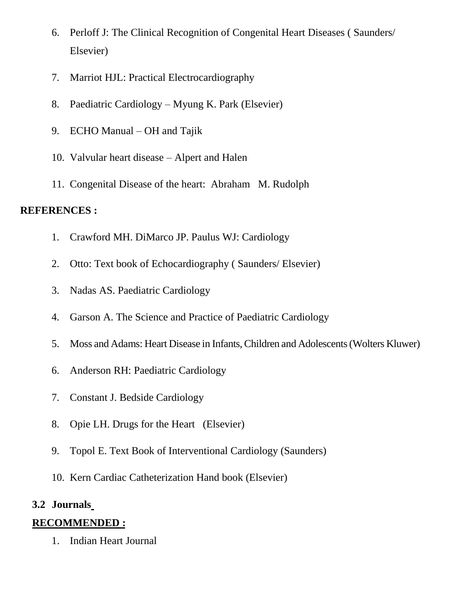- 6. Perloff J: The Clinical Recognition of Congenital Heart Diseases ( Saunders/ Elsevier)
- 7. Marriot HJL: Practical Electrocardiography
- 8. Paediatric Cardiology Myung K. Park (Elsevier)
- 9. ECHO Manual OH and Tajik
- 10. Valvular heart disease Alpert and Halen
- 11. Congenital Disease of the heart: Abraham M. Rudolph

## **REFERENCES :**

- 1. Crawford MH. DiMarco JP. Paulus WJ: Cardiology
- 2. Otto: Text book of Echocardiography ( Saunders/ Elsevier)
- 3. Nadas AS. Paediatric Cardiology
- 4. Garson A. The Science and Practice of Paediatric Cardiology
- 5. Moss and Adams: Heart Disease in Infants,Children and Adolescents(Wolters Kluwer)
- 6. Anderson RH: Paediatric Cardiology
- 7. Constant J. Bedside Cardiology
- 8. Opie LH. Drugs for the Heart (Elsevier)
- 9. Topol E. Text Book of Interventional Cardiology (Saunders)
- 10. Kern Cardiac Catheterization Hand book (Elsevier)

## **3.2 Journals**

## **RECOMMENDED :**

1. Indian Heart Journal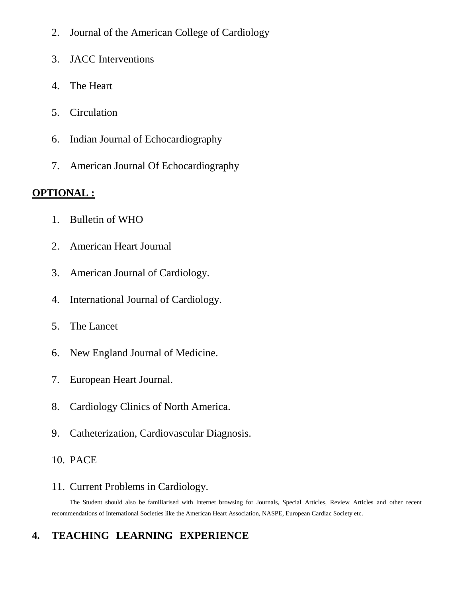- 2. Journal of the American College of Cardiology
- 3. JACC Interventions
- 4. The Heart
- 5. Circulation
- 6. Indian Journal of Echocardiography
- 7. American Journal Of Echocardiography

#### **OPTIONAL :**

- 1. Bulletin of WHO
- 2. American Heart Journal
- 3. American Journal of Cardiology.
- 4. International Journal of Cardiology.
- 5. The Lancet
- 6. New England Journal of Medicine.
- 7. European Heart Journal.
- 8. Cardiology Clinics of North America.
- 9. Catheterization, Cardiovascular Diagnosis.
- 10. PACE

#### 11. Current Problems in Cardiology.

The Student should also be familiarised with Internet browsing for Journals, Special Articles, Review Articles and other recent recommendations of International Societies like the American Heart Association, NASPE, European Cardiac Society etc.

## **4. TEACHING LEARNING EXPERIENCE**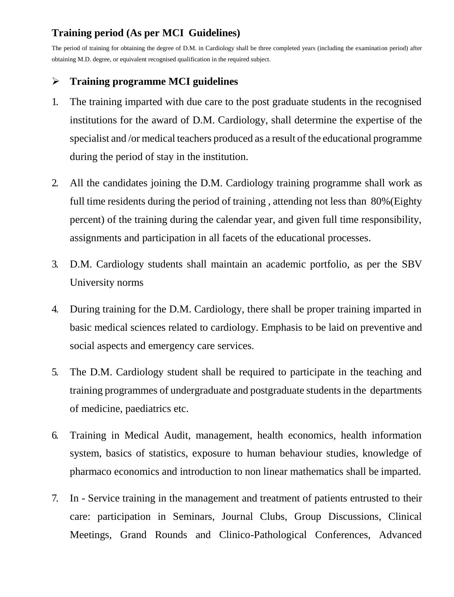## **Training period (As per MCI Guidelines)**

The period of training for obtaining the degree of D.M. in Cardiology shall be three completed years (including the examination period) after obtaining M.D. degree, or equivalent recognised qualification in the required subject.

## **Training programme MCI guidelines**

- 1. The training imparted with due care to the post graduate students in the recognised institutions for the award of D.M. Cardiology, shall determine the expertise of the specialist and /or medical teachers produced as a result of the educational programme during the period of stay in the institution.
- 2. All the candidates joining the D.M. Cardiology training programme shall work as full time residents during the period of training , attending not less than 80%(Eighty percent) of the training during the calendar year, and given full time responsibility, assignments and participation in all facets of the educational processes.
- 3. D.M. Cardiology students shall maintain an academic portfolio, as per the SBV University norms
- 4. During training for the D.M. Cardiology, there shall be proper training imparted in basic medical sciences related to cardiology. Emphasis to be laid on preventive and social aspects and emergency care services.
- 5. The D.M. Cardiology student shall be required to participate in the teaching and training programmes of undergraduate and postgraduate studentsin the departments of medicine, paediatrics etc.
- 6. Training in Medical Audit, management, health economics, health information system, basics of statistics, exposure to human behaviour studies, knowledge of pharmaco economics and introduction to non linear mathematics shall be imparted.
- 7. In Service training in the management and treatment of patients entrusted to their care: participation in Seminars, Journal Clubs, Group Discussions, Clinical Meetings, Grand Rounds and Clinico-Pathological Conferences, Advanced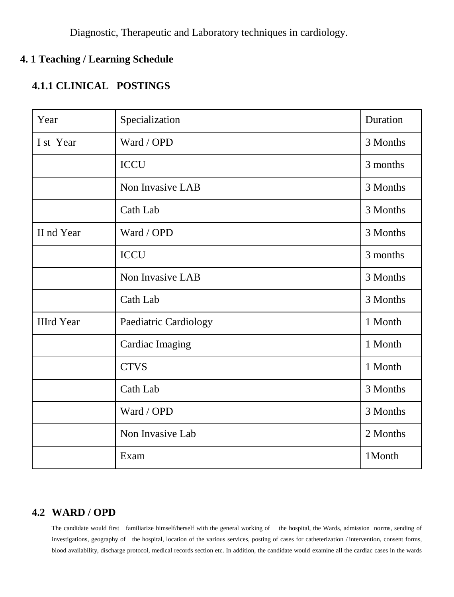Diagnostic, Therapeutic and Laboratory techniques in cardiology.

## **4. 1 Teaching / Learning Schedule**

## **4.1.1 CLINICAL POSTINGS**

| Year              | Specialization               | Duration |
|-------------------|------------------------------|----------|
| I st Year         | Ward / OPD                   | 3 Months |
|                   | <b>ICCU</b>                  | 3 months |
|                   | Non Invasive LAB             | 3 Months |
|                   | Cath Lab                     | 3 Months |
| II nd Year        | Ward / OPD                   | 3 Months |
|                   | <b>ICCU</b>                  | 3 months |
|                   | Non Invasive LAB             | 3 Months |
|                   | Cath Lab                     | 3 Months |
| <b>IIIrd Year</b> | <b>Paediatric Cardiology</b> | 1 Month  |
|                   | <b>Cardiac Imaging</b>       | 1 Month  |
|                   | <b>CTVS</b>                  | 1 Month  |
|                   | Cath Lab                     | 3 Months |
|                   | Ward / OPD                   | 3 Months |
|                   | Non Invasive Lab             | 2 Months |
|                   | Exam                         | 1Month   |

## **4.2 WARD / OPD**

The candidate would first familiarize himself/herself with the general working of the hospital, the Wards, admission norms, sending of investigations, geography of the hospital, location of the various services, posting of cases for catheterization / intervention, consent forms, blood availability, discharge protocol, medical records section etc. In addition, the candidate would examine all the cardiac cases in the wards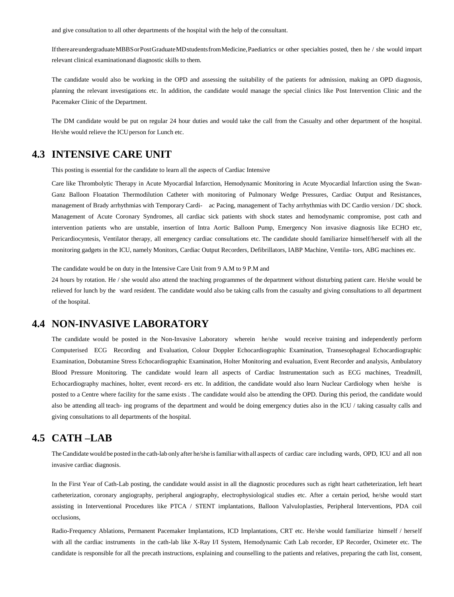and give consultation to all other departments of the hospital with the help of the consultant.

If there are undergraduate MBBS or Post Graduate MD students from Medicine, Paediatrics or other specialties posted, then he / she would impart relevant clinical examinationand diagnostic skills to them.

The candidate would also be working in the OPD and assessing the suitability of the patients for admission, making an OPD diagnosis, planning the relevant investigations etc. In addition, the candidate would manage the special clinics like Post Intervention Clinic and the Pacemaker Clinic of the Department.

The DM candidate would be put on regular 24 hour duties and would take the call from the Casualty and other department of the hospital. He/she would relieve the ICUperson for Lunch etc.

#### **4.3 INTENSIVE CARE UNIT**

This posting is essential for the candidate to learn all the aspects of Cardiac Intensive

Care like Thrombolytic Therapy in Acute Myocardial Infarction, Hemodynamic Monitoring in Acute Myocardial Infarction using the Swan-Ganz Balloon Floatation Thermodilution Catheter with monitoring of Pulmonary Wedge Pressures, Cardiac Output and Resistances, management of Brady arrhythmias with Temporary Cardi- ac Pacing, management of Tachy arrhythmias with DC Cardio version / DC shock. Management of Acute Coronary Syndromes, all cardiac sick patients with shock states and hemodynamic compromise, post cath and intervention patients who are unstable, insertion of Intra Aortic Balloon Pump, Emergency Non invasive diagnosis like ECHO etc, Pericardiocyntesis, Ventilator therapy, all emergency cardiac consultations etc. The candidate should familiarize himself/herself with all the monitoring gadgets in the ICU, namely Monitors, Cardiac Output Recorders, Defibrillators, IABP Machine, Ventila- tors, ABG machines etc.

The candidate would be on duty in the Intensive Care Unit from 9 A.M to 9 P.M and

24 hours by rotation. He / she would also attend the teaching programmes of the department without disturbing patient care. He/she would be relieved for lunch by the ward resident. The candidate would also be taking calls from the casualty and giving consultations to all department of the hospital.

#### **4.4 NON-INVASIVE LABORATORY**

The candidate would be posted in the Non-Invasive Laboratory wherein he/she would receive training and independently perform Computerised ECG Recording and Evaluation, Colour Doppler Echocardiographic Examination, Transesophageal Echocardiographic Examination, Dobutamine Stress Echocardiographic Examination, Holter Monitoring and evaluation, Event Recorder and analysis, Ambulatory Blood Pressure Monitoring. The candidate would learn all aspects of Cardiac Instrumentation such as ECG machines, Treadmill, Echocardiography machines, holter, event record- ers etc. In addition, the candidate would also learn Nuclear Cardiology when he/she is posted to a Centre where facility for the same exists . The candidate would also be attending the OPD. During this period, the candidate would also be attending all teach- ing programs of the department and would be doing emergency duties also in the ICU / taking casualty calls and giving consultations to all departments of the hospital.

#### **4.5 CATH –LAB**

TheCandidate would be posted in the cath-lab only after he/she isfamiliar with all aspects of cardiac care including wards, OPD, ICU and all non invasive cardiac diagnosis.

In the First Year of Cath-Lab posting, the candidate would assist in all the diagnostic procedures such as right heart catheterization, left heart catheterization, coronary angiography, peripheral angiography, electrophysiological studies etc. After a certain period, he/she would start assisting in Interventional Procedures like PTCA / STENT implantations, Balloon Valvuloplasties, Peripheral Interventions, PDA coil occlusions,

Radio-Frequency Ablations, Permanent Pacemaker Implantations, ICD Implantations, CRT etc. He/she would familiarize himself / herself with all the cardiac instruments in the cath-lab like X-Ray I/I System, Hemodynamic Cath Lab recorder, EP Recorder, Oximeter etc. The candidate is responsible for all the precath instructions, explaining and counselling to the patients and relatives, preparing the cath list, consent,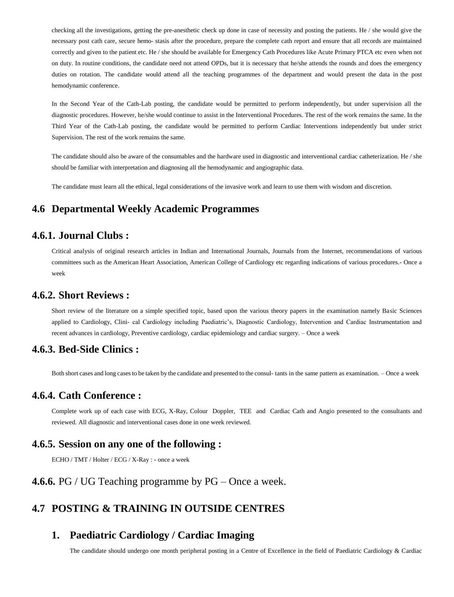checking all the investigations, getting the pre-anesthetic check up done in case of necessity and posting the patients. He / she would give the necessary post cath care, secure hemo- stasis after the procedure, prepare the complete cath report and ensure that all records are maintained correctly and given to the patient etc. He / she should be available for Emergency Cath Procedures like Acute Primary PTCA etc even when not on duty. In routine conditions, the candidate need not attend OPDs, but it is necessary that he/she attends the rounds and does the emergency duties on rotation. The candidate would attend all the teaching programmes of the department and would present the data in the post hemodynamic conference.

In the Second Year of the Cath-Lab posting, the candidate would be permitted to perform independently, but under supervision all the diagnostic procedures. However, he/she would continue to assist in the Interventional Procedures. The rest of the work remains the same. In the Third Year of the Cath-Lab posting, the candidate would be permitted to perform Cardiac Interventions independently but under strict Supervision. The rest of the work remains the same.

The candidate should also be aware of the consumables and the hardware used in diagnostic and interventional cardiac catheterization. He / she should be familiar with interpretation and diagnosing all the hemodynamic and angiographic data.

The candidate must learn all the ethical, legal considerations of the invasive work and learn to use them with wisdom and discretion.

#### **4.6 Departmental Weekly Academic Programmes**

#### **4.6.1. Journal Clubs :**

Critical analysis of original research articles in Indian and International Journals, Journals from the Internet, recommendations of various committees such as the American Heart Association, American College of Cardiology etc regarding indications of various procedures.- Once a week

#### **4.6.2. Short Reviews :**

Short review of the literature on a simple specified topic, based upon the various theory papers in the examination namely Basic Sciences applied to Cardiology, Clini- cal Cardiology including Paediatric's, Diagnostic Cardiology, Intervention and Cardiac Instrumentation and recent advances in cardiology, Preventive cardiology, cardiac epidemiology and cardiac surgery. – Once a week

#### **4.6.3. Bed-Side Clinics :**

Both short cases and long cases to be taken by the candidate and presented to the consul- tants in the same pattern as examination. – Once a week

#### **4.6.4. Cath Conference :**

Complete work up of each case with ECG, X-Ray, Colour Doppler, TEE and Cardiac Cath and Angio presented to the consultants and reviewed. All diagnostic and interventional cases done in one week reviewed.

#### **4.6.5. Session on any one of the following :**

ECHO / TMT / Holter / ECG / X-Ray : - once a week

#### **4.6.6.** PG / UG Teaching programme by PG – Once a week.

#### **4.7 POSTING & TRAINING IN OUTSIDE CENTRES**

#### **1. Paediatric Cardiology / Cardiac Imaging**

The candidate should undergo one month peripheral posting in a Centre of Excellence in the field of Paediatric Cardiology & Cardiac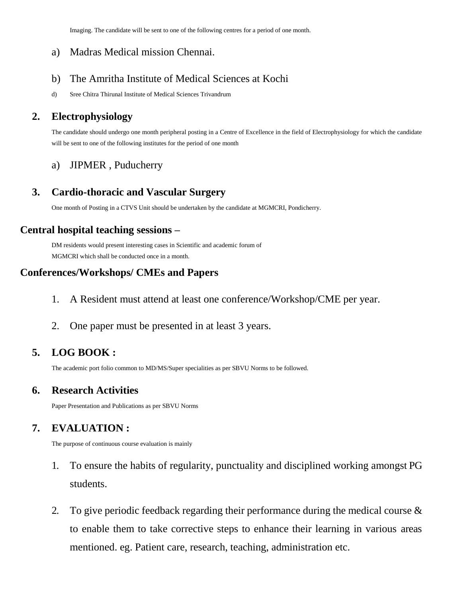Imaging. The candidate will be sent to one of the following centres for a period of one month.

#### a) Madras Medical mission Chennai.

### b) The Amritha Institute of Medical Sciences at Kochi

d) Sree Chitra Thirunal Institute of Medical Sciences Trivandrum

## **2. Electrophysiology**

The candidate should undergo one month peripheral posting in a Centre of Excellence in the field of Electrophysiology for which the candidate will be sent to one of the following institutes for the period of one month

## a) JIPMER , Puducherry

## **3. Cardio-thoracic and Vascular Surgery**

One month of Posting in a CTVS Unit should be undertaken by the candidate at MGMCRI, Pondicherry.

## **Central hospital teaching sessions –**

DM residents would present interesting cases in Scientific and academic forum of MGMCRI which shall be conducted once in a month.

## **Conferences/Workshops/ CMEs and Papers**

- 1. A Resident must attend at least one conference/Workshop/CME per year.
- 2. One paper must be presented in at least 3 years.

## **5. LOG BOOK :**

The academic port folio common to MD/MS/Super specialities as per SBVU Norms to be followed.

## **6. Research Activities**

Paper Presentation and Publications as per SBVU Norms

## **7. EVALUATION :**

The purpose of continuous course evaluation is mainly

- 1. To ensure the habits of regularity, punctuality and disciplined working amongst PG students.
- 2. To give periodic feedback regarding their performance during the medical course & to enable them to take corrective steps to enhance their learning in various areas mentioned. eg. Patient care, research, teaching, administration etc.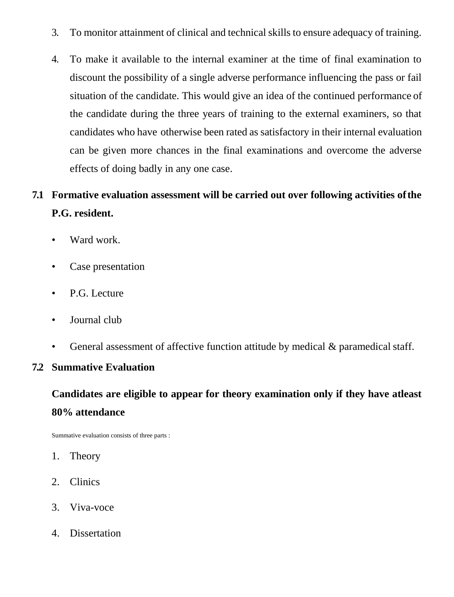- 3. To monitor attainment of clinical and technical skills to ensure adequacy of training.
- 4. To make it available to the internal examiner at the time of final examination to discount the possibility of a single adverse performance influencing the pass or fail situation of the candidate. This would give an idea of the continued performance of the candidate during the three years of training to the external examiners, so that candidates who have otherwise been rated as satisfactory in their internal evaluation can be given more chances in the final examinations and overcome the adverse effects of doing badly in any one case.

# **7.1 Formative evaluation assessment will be carried out over following activities ofthe P.G. resident.**

- Ward work.
- Case presentation
- P.G. Lecture
- Journal club
- General assessment of affective function attitude by medical & paramedical staff.

## **7.2 Summative Evaluation**

# **Candidates are eligible to appear for theory examination only if they have atleast 80% attendance**

Summative evaluation consists of three parts :

- 1. Theory
- 2. Clinics
- 3. Viva-voce
- 4. Dissertation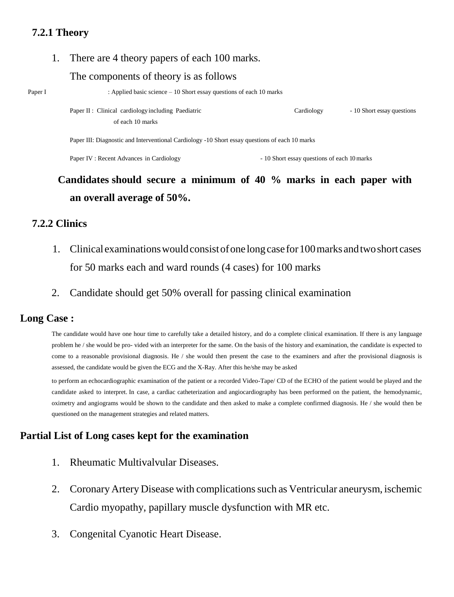## **7.2.1 Theory**

1. There are 4 theory papers of each 100 marks.

#### The components of theory is as follows

Paper I : Applied basic science – 10 Short essay questions of each 10 marks

Paper II : Clinical cardiology including Paediatric Cardiology - 10 Short essay questions of each 10 marks

Paper III: Diagnostic and Interventional Cardiology -10 Short essay questions of each 10 marks

Paper IV : Recent Advances in Cardiology - 10 Short essay questions of each 10 marks

# **Candidates should secure a minimum of 40 % marks in each paper with an overall average of 50%.**

## **7.2.2 Clinics**

- 1. Clinical examinationswouldconsistofone longcasefor100marks andtwoshort cases for 50 marks each and ward rounds (4 cases) for 100 marks
- 2. Candidate should get 50% overall for passing clinical examination

## **Long Case :**

The candidate would have one hour time to carefully take a detailed history, and do a complete clinical examination. If there is any language problem he / she would be pro- vided with an interpreter for the same. On the basis of the history and examination, the candidate is expected to come to a reasonable provisional diagnosis. He / she would then present the case to the examiners and after the provisional diagnosis is assessed, the candidate would be given the ECG and the X-Ray. After this he/she may be asked

to perform an echocardiographic examination of the patient or a recorded Video-Tape/ CD of the ECHO of the patient would be played and the candidate asked to interpret. In case, a cardiac catheterization and angiocardiography has been performed on the patient, the hemodynamic, oximetry and angiograms would be shown to the candidate and then asked to make a complete confirmed diagnosis. He / she would then be questioned on the management strategies and related matters.

## **Partial List of Long cases kept for the examination**

- 1. Rheumatic Multivalvular Diseases.
- 2. Coronary Artery Disease with complications such as Ventricular aneurysm, ischemic Cardio myopathy, papillary muscle dysfunction with MR etc.
- 3. Congenital Cyanotic Heart Disease.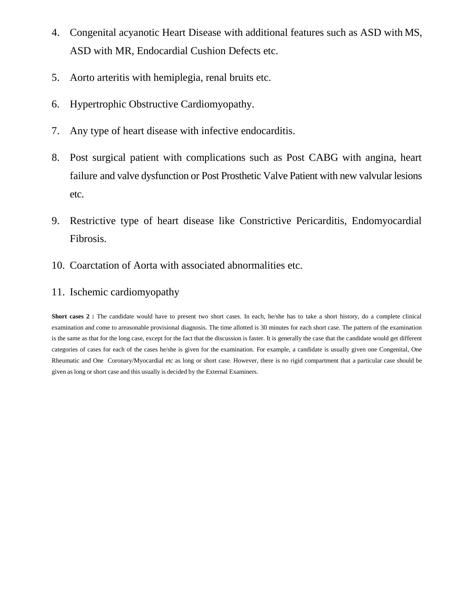- 4. Congenital acyanotic Heart Disease with additional features such as ASD with MS, ASD with MR, Endocardial Cushion Defects etc.
- 5. Aorto arteritis with hemiplegia, renal bruits etc.
- 6. Hypertrophic Obstructive Cardiomyopathy.
- 7. Any type of heart disease with infective endocarditis.
- 8. Post surgical patient with complications such as Post CABG with angina, heart failure and valve dysfunction or Post Prosthetic Valve Patient with new valvular lesions etc.
- 9. Restrictive type of heart disease like Constrictive Pericarditis, Endomyocardial Fibrosis.
- 10. Coarctation of Aorta with associated abnormalities etc.
- 11. Ischemic cardiomyopathy

**Short cases 2 :** The candidate would have to present two short cases. In each, he/she has to take a short history, do a complete clinical examination and come to areasonable provisional diagnosis. The time allotted is 30 minutes for each short case. The pattern of the examination is the same as that for the long case, except for the fact that the discussion is faster. It is generally the case that the candidate would get different categories of cases for each of the cases he/she is given for the examination. For example, a candidate is usually given one Congenital, One Rheumatic and One Coronary/Myocardial etc as long or short case. However, there is no rigid compartment that a particular case should be given as long or short case and this usually is decided by the External Examiners.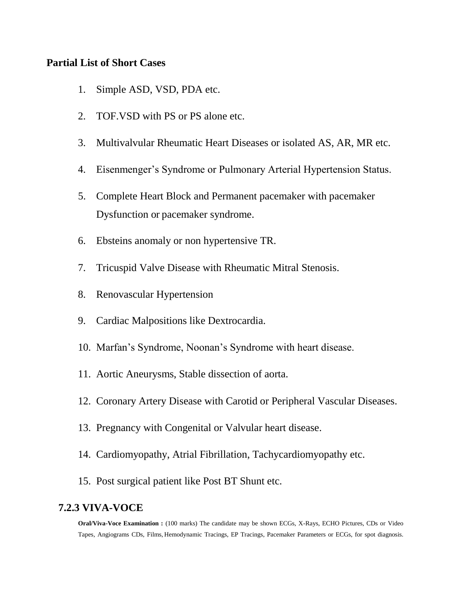#### **Partial List of Short Cases**

- 1. Simple ASD, VSD, PDA etc.
- 2. TOF.VSD with PS or PS alone etc.
- 3. Multivalvular Rheumatic Heart Diseases or isolated AS, AR, MR etc.
- 4. Eisenmenger's Syndrome or Pulmonary Arterial Hypertension Status.
- 5. Complete Heart Block and Permanent pacemaker with pacemaker Dysfunction or pacemaker syndrome.
- 6. Ebsteins anomaly or non hypertensive TR.
- 7. Tricuspid Valve Disease with Rheumatic Mitral Stenosis.
- 8. Renovascular Hypertension
- 9. Cardiac Malpositions like Dextrocardia.
- 10. Marfan's Syndrome, Noonan's Syndrome with heart disease.
- 11. Aortic Aneurysms, Stable dissection of aorta.
- 12. Coronary Artery Disease with Carotid or Peripheral Vascular Diseases.
- 13. Pregnancy with Congenital or Valvular heart disease.
- 14. Cardiomyopathy, Atrial Fibrillation, Tachycardiomyopathy etc.
- 15. Post surgical patient like Post BT Shunt etc.

#### **7.2.3 VIVA-VOCE**

**Oral/Viva-Voce Examination :** (100 marks) The candidate may be shown ECGs, X-Rays, ECHO Pictures, CDs or Video Tapes, Angiograms CDs, Films, Hemodynamic Tracings, EP Tracings, Pacemaker Parameters or ECGs, for spot diagnosis.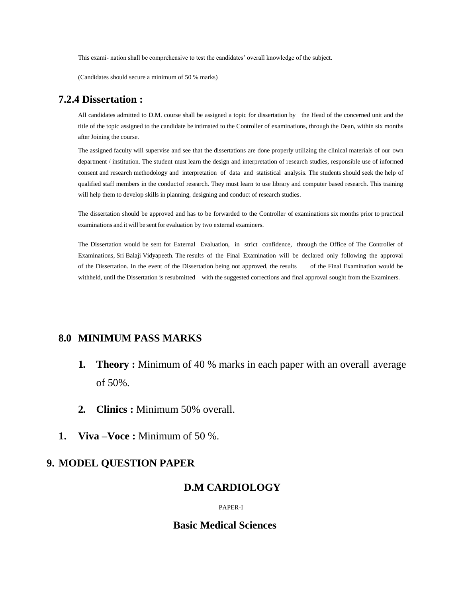This exami- nation shall be comprehensive to test the candidates' overall knowledge of the subject.

(Candidates should secure a minimum of 50 % marks)

#### **7.2.4 Dissertation :**

All candidates admitted to D.M. course shall be assigned a topic for dissertation by the Head of the concerned unit and the title of the topic assigned to the candidate be intimated to the Controller of examinations, through the Dean, within six months after Joining the course.

The assigned faculty will supervise and see that the dissertations are done properly utilizing the clinical materials of our own department / institution. The student must learn the design and interpretation of research studies, responsible use of informed consent and research methodology and interpretation of data and statistical analysis. The students should seek the help of qualified staff members in the conductof research. They must learn to use library and computer based research. This training will help them to develop skills in planning, designing and conduct of research studies.

The dissertation should be approved and has to be forwarded to the Controller of examinations six months prior to practical examinations and it will be sent for evaluation by two external examiners.

The Dissertation would be sent for External Evaluation, in strict confidence, through the Office of The Controller of Examinations, Sri Balaji Vidyapeeth. The results of the Final Examination will be declared only following the approval of the Dissertation. In the event of the Dissertation being not approved, the results of the Final Examination would be withheld, until the Dissertation is resubmitted with the suggested corrections and final approval sought from the Examiners.

#### **8.0 MINIMUM PASS MARKS**

- **1. Theory :** Minimum of 40 % marks in each paper with an overall average of 50%.
- **2. Clinics :** Minimum 50% overall.
- **1. Viva –Voce :** Minimum of 50 %.

#### **9. MODEL QUESTION PAPER**

#### **D.M CARDIOLOGY**

PAPER-I

#### **Basic Medical Sciences**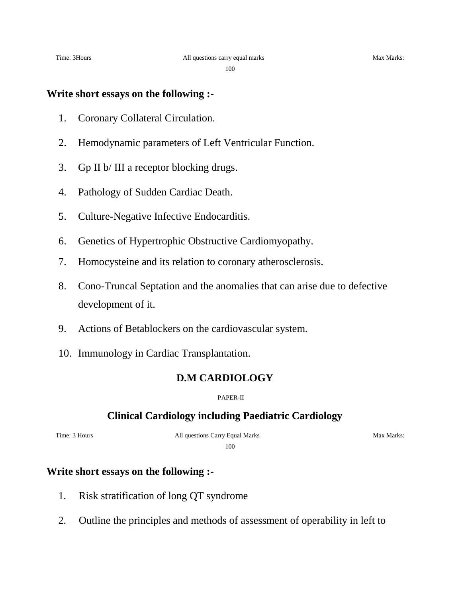100

#### **Write short essays on the following :-**

- 1. Coronary Collateral Circulation.
- 2. Hemodynamic parameters of Left Ventricular Function.
- 3. Gp II b/ III a receptor blocking drugs.
- 4. Pathology of Sudden Cardiac Death.
- 5. Culture-Negative Infective Endocarditis.
- 6. Genetics of Hypertrophic Obstructive Cardiomyopathy.
- 7. Homocysteine and its relation to coronary atherosclerosis.
- 8. Cono-Truncal Septation and the anomalies that can arise due to defective development of it.
- 9. Actions of Betablockers on the cardiovascular system.
- 10. Immunology in Cardiac Transplantation.

#### **D.M CARDIOLOGY**

PAPER-II

#### **Clinical Cardiology including Paediatric Cardiology**

Time: 3 Hours **All questions Carry Equal Marks** Max Marks:

100

## **Write short essays on the following :-**

- 1. Risk stratification of long QT syndrome
- 2. Outline the principles and methods of assessment of operability in left to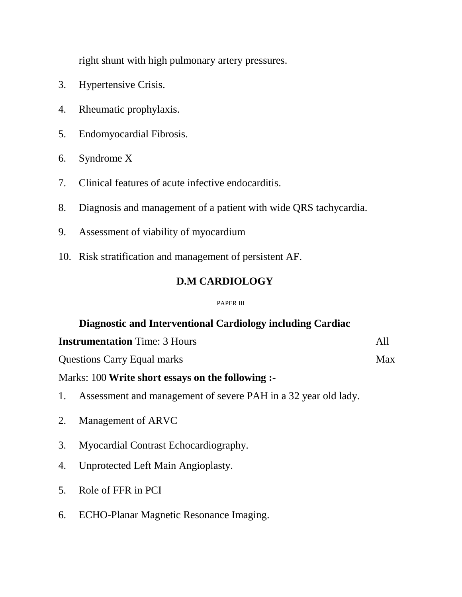right shunt with high pulmonary artery pressures.

- 3. Hypertensive Crisis.
- 4. Rheumatic prophylaxis.
- 5. Endomyocardial Fibrosis.
- 6. Syndrome X
- 7. Clinical features of acute infective endocarditis.
- 8. Diagnosis and management of a patient with wide QRS tachycardia.
- 9. Assessment of viability of myocardium
- 10. Risk stratification and management of persistent AF.

## **D.M CARDIOLOGY**

#### PAPER III

## **Diagnostic and Interventional Cardiology including Cardiac**

| <b>Instrumentation</b> Time: 3 Hours |  |
|--------------------------------------|--|
|                                      |  |

Questions Carry Equal marks Max

## Marks: 100 **Write short essays on the following :-**

- 1. Assessment and management of severe PAH in a 32 year old lady.
- 2. Management of ARVC
- 3. Myocardial Contrast Echocardiography.
- 4. Unprotected Left Main Angioplasty.
- 5. Role of FFR in PCI
- 6. ECHO-Planar Magnetic Resonance Imaging.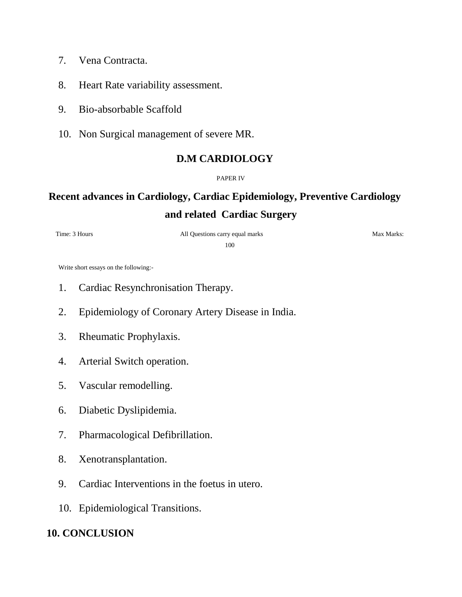- 7. Vena Contracta.
- 8. Heart Rate variability assessment.
- 9. Bio-absorbable Scaffold
- 10. Non Surgical management of severe MR.

## **D.M CARDIOLOGY**

#### PAPER IV

# **Recent advances in Cardiology, Cardiac Epidemiology, Preventive Cardiology and related Cardiac Surgery**

## Time: 3 Hours **All Questions carry equal marks** Max Marks:

100

Write short essays on the following:-

- 1. Cardiac Resynchronisation Therapy.
- 2. Epidemiology of Coronary Artery Disease in India.
- 3. Rheumatic Prophylaxis.
- 4. Arterial Switch operation.
- 5. Vascular remodelling.
- 6. Diabetic Dyslipidemia.
- 7. Pharmacological Defibrillation.
- 8. Xenotransplantation.
- 9. Cardiac Interventions in the foetus in utero.
- 10. Epidemiological Transitions.

## **10. CONCLUSION**